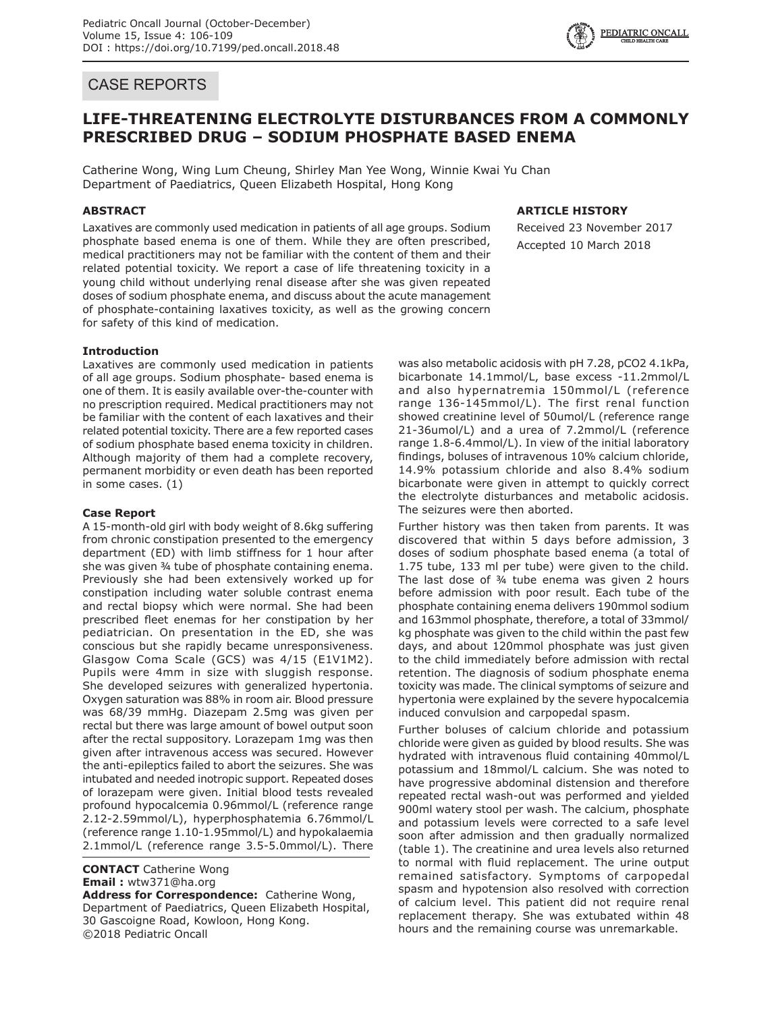## CASE REPORTS

# **LIFE-THREATENING ELECTROLYTE DISTURBANCES FROM A COMMONLY PRESCRIBED DRUG – SODIUM PHOSPHATE BASED ENEMA**

Catherine Wong, Wing Lum Cheung, Shirley Man Yee Wong, Winnie Kwai Yu Chan Department of Paediatrics, Queen Elizabeth Hospital, Hong Kong

## **ABSTRACT**

Laxatives are commonly used medication in patients of all age groups. Sodium phosphate based enema is one of them. While they are often prescribed, medical practitioners may not be familiar with the content of them and their related potential toxicity. We report a case of life threatening toxicity in a young child without underlying renal disease after she was given repeated doses of sodium phosphate enema, and discuss about the acute management of phosphate-containing laxatives toxicity, as well as the growing concern for safety of this kind of medication.

## **ARTICLE HISTORY**

Received 23 November 2017 Accepted 10 March 2018

### **Introduction**

Laxatives are commonly used medication in patients of all age groups. Sodium phosphate- based enema is one of them. It is easily available over-the-counter with no prescription required. Medical practitioners may not be familiar with the content of each laxatives and their related potential toxicity. There are a few reported cases of sodium phosphate based enema toxicity in children. Although majority of them had a complete recovery, permanent morbidity or even death has been reported in some cases. (1)

### **Case Report**

A 15-month-old girl with body weight of 8.6kg suffering from chronic constipation presented to the emergency department (ED) with limb stiffness for 1 hour after she was given ¾ tube of phosphate containing enema. Previously she had been extensively worked up for constipation including water soluble contrast enema and rectal biopsy which were normal. She had been prescribed fleet enemas for her constipation by her pediatrician. On presentation in the ED, she was conscious but she rapidly became unresponsiveness. Glasgow Coma Scale (GCS) was 4/15 (E1V1M2). Pupils were 4mm in size with sluggish response. She developed seizures with generalized hypertonia. Oxygen saturation was 88% in room air. Blood pressure was 68/39 mmHg. Diazepam 2.5mg was given per rectal but there was large amount of bowel output soon after the rectal suppository. Lorazepam 1mg was then given after intravenous access was secured. However the anti-epileptics failed to abort the seizures. She was intubated and needed inotropic support. Repeated doses of lorazepam were given. Initial blood tests revealed profound hypocalcemia 0.96mmol/L (reference range 2.12-2.59mmol/L), hyperphosphatemia 6.76mmol/L (reference range 1.10-1.95mmol/L) and hypokalaemia 2.1mmol/L (reference range 3.5-5.0mmol/L). There

**CONTACT** Catherine Wong **Email :** wtw371@ha.org **Address for Correspondence:** Catherine Wong,

Department of Paediatrics, Queen Elizabeth Hospital, 30 Gascoigne Road, Kowloon, Hong Kong. ©2018 Pediatric Oncall

was also metabolic acidosis with pH 7.28, pCO2 4.1kPa, bicarbonate 14.1mmol/L, base excess -11.2mmol/L and also hypernatremia 150mmol/L (reference range 136-145mmol/L). The first renal function showed creatinine level of 50umol/L (reference range 21-36umol/L) and a urea of 7.2mmol/L (reference range 1.8-6.4mmol/L). In view of the initial laboratory findings, boluses of intravenous 10% calcium chloride, 14.9% potassium chloride and also 8.4% sodium bicarbonate were given in attempt to quickly correct the electrolyte disturbances and metabolic acidosis. The seizures were then aborted.

Further history was then taken from parents. It was discovered that within 5 days before admission, 3 doses of sodium phosphate based enema (a total of 1.75 tube, 133 ml per tube) were given to the child. The last dose of ¾ tube enema was given 2 hours before admission with poor result. Each tube of the phosphate containing enema delivers 190mmol sodium and 163mmol phosphate, therefore, a total of 33mmol/ kg phosphate was given to the child within the past few days, and about 120mmol phosphate was just given to the child immediately before admission with rectal retention. The diagnosis of sodium phosphate enema toxicity was made. The clinical symptoms of seizure and hypertonia were explained by the severe hypocalcemia induced convulsion and carpopedal spasm.

Further boluses of calcium chloride and potassium chloride were given as guided by blood results. She was hydrated with intravenous fluid containing 40mmol/L potassium and 18mmol/L calcium. She was noted to have progressive abdominal distension and therefore repeated rectal wash-out was performed and yielded 900ml watery stool per wash. The calcium, phosphate and potassium levels were corrected to a safe level soon after admission and then gradually normalized (table 1). The creatinine and urea levels also returned to normal with fluid replacement. The urine output remained satisfactory. Symptoms of carpopedal spasm and hypotension also resolved with correction of calcium level. This patient did not require renal replacement therapy. She was extubated within 48 hours and the remaining course was unremarkable.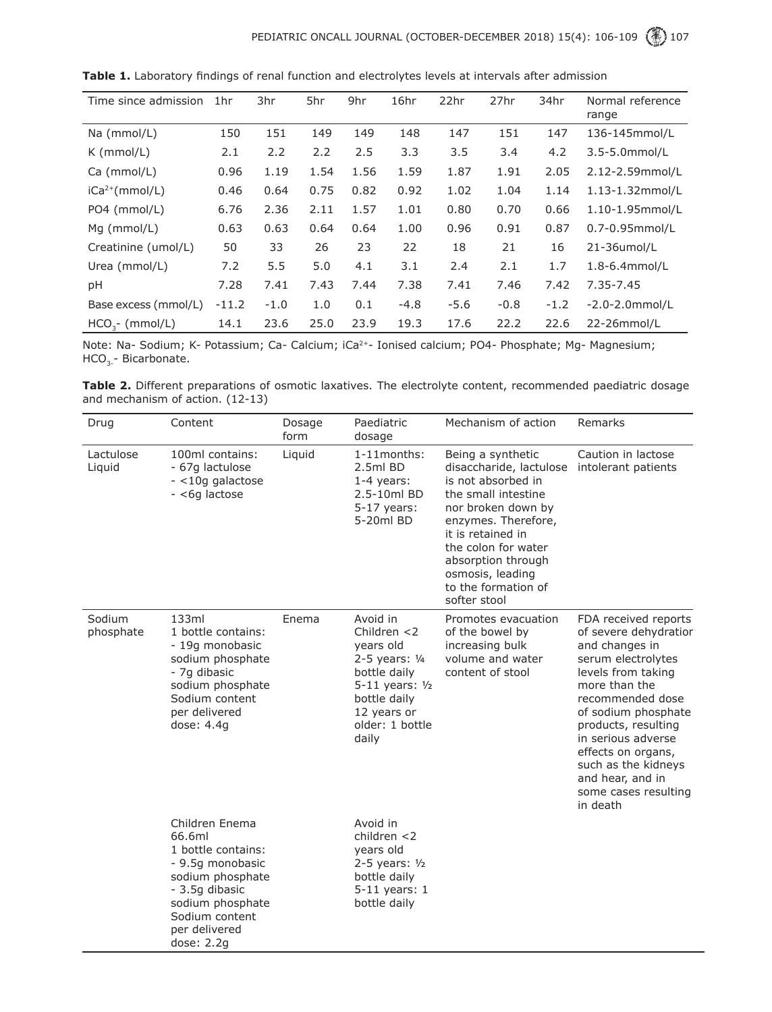| Time since admission | 1hr     | 3hr    | 5hr  | 9hr  | 16hr   | 22hr   | 27hr   | 34hr   | Normal reference<br>range |
|----------------------|---------|--------|------|------|--------|--------|--------|--------|---------------------------|
| Na (mmol/L)          | 150     | 151    | 149  | 149  | 148    | 147    | 151    | 147    | 136-145mmol/L             |
| $K$ (mmol/L)         | 2.1     | 2.2    | 2.2  | 2.5  | 3.3    | 3.5    | 3.4    | 4.2    | 3.5-5.0mmol/L             |
| Ca (mmol/L)          | 0.96    | 1.19   | 1.54 | 1.56 | 1.59   | 1.87   | 1.91   | 2.05   | 2.12-2.59mmol/L           |
| $iCa2+(mmol/L)$      | 0.46    | 0.64   | 0.75 | 0.82 | 0.92   | 1.02   | 1.04   | 1.14   | 1.13-1.32mmol/L           |
| PO4 (mmol/L)         | 6.76    | 2.36   | 2.11 | 1.57 | 1.01   | 0.80   | 0.70   | 0.66   | 1.10-1.95mmol/L           |
| $Mq$ (mmol/L)        | 0.63    | 0.63   | 0.64 | 0.64 | 1.00   | 0.96   | 0.91   | 0.87   | 0.7-0.95mmol/L            |
| Creatinine (umol/L)  | 50      | 33     | 26   | 23   | 22     | 18     | 21     | 16     | 21-36umol/L               |
| Urea (mmol/L)        | 7.2     | 5.5    | 5.0  | 4.1  | 3.1    | 2.4    | 2.1    | 1.7    | 1.8-6.4mmol/L             |
| рH                   | 7.28    | 7.41   | 7.43 | 7.44 | 7.38   | 7.41   | 7.46   | 7.42   | $7.35 - 7.45$             |
| Base excess (mmol/L) | $-11.2$ | $-1.0$ | 1.0  | 0.1  | $-4.8$ | $-5.6$ | $-0.8$ | $-1.2$ | $-2.0 - 2.0$ mmol/L       |
| $HCO2$ - (mmol/L)    | 14.1    | 23.6   | 25.0 | 23.9 | 19.3   | 17.6   | 22.2   | 22.6   | 22-26mmol/L               |

**Table 1.** Laboratory findings of renal function and electrolytes levels at intervals after admission

Note: Na- Sodium; K- Potassium; Ca- Calcium; iCa<sup>2+</sup>- Ionised calcium; PO4- Phosphate; Mg- Magnesium;  $HCO<sub>3</sub>$ - Bicarbonate.

Table 2. Different preparations of osmotic laxatives. The electrolyte content, recommended paediatric dosage and mechanism of action. (12-13)

| Drug                | Content                                                                                                                                                                         | Dosage<br>form | Paediatric<br>dosage                                                                                                                                        | Mechanism of action                                                                                                                                                                                                                                                 | Remarks                                                                                                                                                                                                                                                                                                                   |
|---------------------|---------------------------------------------------------------------------------------------------------------------------------------------------------------------------------|----------------|-------------------------------------------------------------------------------------------------------------------------------------------------------------|---------------------------------------------------------------------------------------------------------------------------------------------------------------------------------------------------------------------------------------------------------------------|---------------------------------------------------------------------------------------------------------------------------------------------------------------------------------------------------------------------------------------------------------------------------------------------------------------------------|
| Lactulose<br>Liquid | 100ml contains:<br>- 67g lactulose<br>- <10g galactose<br>- <6g lactose                                                                                                         | Liquid         | 1-11 months:<br>2.5ml BD<br>$1-4$ years:<br>2.5-10ml BD<br>$5-17$ years:<br>5-20ml BD                                                                       | Being a synthetic<br>disaccharide, lactulose<br>is not absorbed in<br>the small intestine<br>nor broken down by<br>enzymes. Therefore,<br>it is retained in<br>the colon for water<br>absorption through<br>osmosis, leading<br>to the formation of<br>softer stool | Caution in lactose<br>intolerant patients                                                                                                                                                                                                                                                                                 |
| Sodium<br>phosphate | 133ml<br>1 bottle contains:<br>- 19g monobasic<br>sodium phosphate<br>- 7g dibasic<br>sodium phosphate<br>Sodium content<br>per delivered<br>dose: $4.4q$                       | Enema          | Avoid in<br>Children $<$ 2<br>years old<br>2-5 years: 1/4<br>bottle daily<br>$5-11$ years: $1/2$<br>bottle daily<br>12 years or<br>older: 1 bottle<br>daily | Promotes evacuation<br>of the bowel by<br>increasing bulk<br>volume and water<br>content of stool                                                                                                                                                                   | FDA received reports<br>of severe dehydratior<br>and changes in<br>serum electrolytes<br>levels from taking<br>more than the<br>recommended dose<br>of sodium phosphate<br>products, resulting<br>in serious adverse<br>effects on organs,<br>such as the kidneys<br>and hear, and in<br>some cases resulting<br>in death |
|                     | Children Enema<br>66.6ml<br>1 bottle contains:<br>- 9.5g monobasic<br>sodium phosphate<br>- 3.5g dibasic<br>sodium phosphate<br>Sodium content<br>per delivered<br>dose: $2.2g$ |                | Avoid in<br>children $<$ 2<br>years old<br>$2 - 5$ years: $1/2$<br>bottle daily<br>5-11 years: 1<br>bottle daily                                            |                                                                                                                                                                                                                                                                     |                                                                                                                                                                                                                                                                                                                           |

-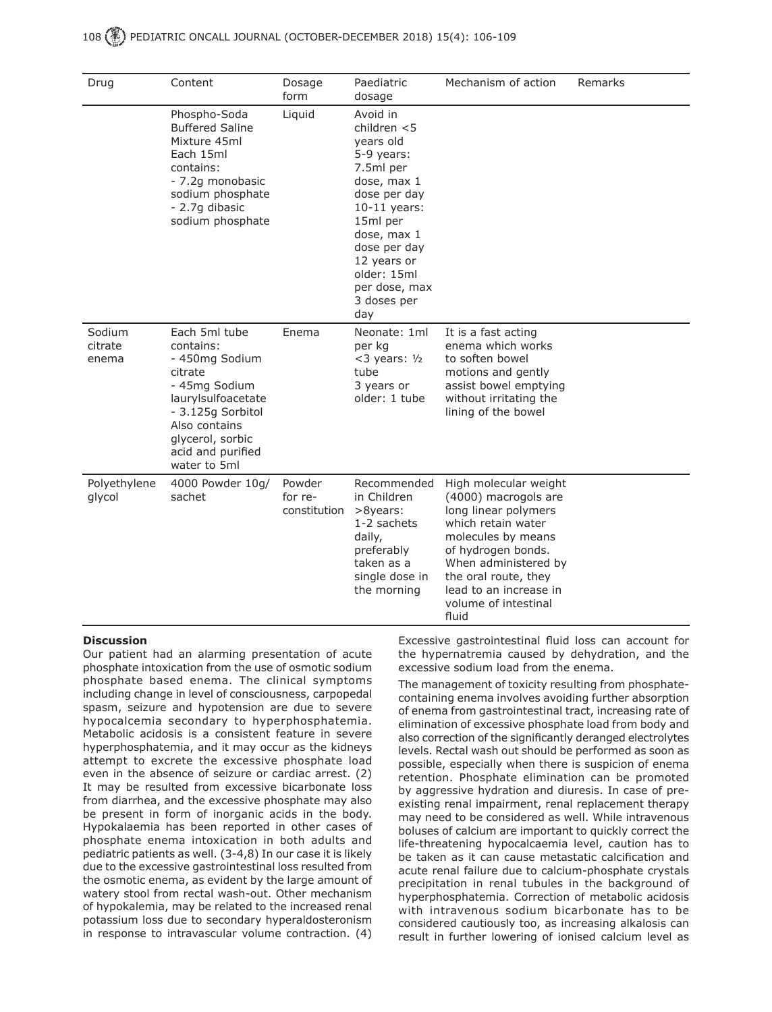## 108 (.) PEDIATRIC ONCALL JOURNAL (OCTOBER-DECEMBER 2018) 15(4): 106-109

| Drug                       | Content                                                                                                                                                                                       | Dosage<br>form                    | Paediatric<br>dosage                                                                                                                                                                                                                | Mechanism of action                                                                                                                                                                                                                                | Remarks |
|----------------------------|-----------------------------------------------------------------------------------------------------------------------------------------------------------------------------------------------|-----------------------------------|-------------------------------------------------------------------------------------------------------------------------------------------------------------------------------------------------------------------------------------|----------------------------------------------------------------------------------------------------------------------------------------------------------------------------------------------------------------------------------------------------|---------|
|                            | Phospho-Soda<br><b>Buffered Saline</b><br>Mixture 45ml<br>Each 15ml<br>contains:<br>- 7.2g monobasic<br>sodium phosphate<br>- 2.7g dibasic<br>sodium phosphate                                | Liquid                            | Avoid in<br>children $<$ 5<br>years old<br>5-9 years:<br>7.5ml per<br>dose, max 1<br>dose per day<br>$10-11$ years:<br>15ml per<br>dose, max 1<br>dose per day<br>12 years or<br>older: 15ml<br>per dose, max<br>3 doses per<br>day |                                                                                                                                                                                                                                                    |         |
| Sodium<br>citrate<br>enema | Each 5ml tube<br>contains:<br>- 450mg Sodium<br>citrate<br>- 45mg Sodium<br>laurylsulfoacetate<br>- 3.125g Sorbitol<br>Also contains<br>glycerol, sorbic<br>acid and purified<br>water to 5ml | Enema                             | Neonate: 1ml<br>per kg<br>$<$ 3 years: $1/2$<br>tube<br>3 years or<br>older: 1 tube                                                                                                                                                 | It is a fast acting<br>enema which works<br>to soften bowel<br>motions and gently<br>assist bowel emptying<br>without irritating the<br>lining of the bowel                                                                                        |         |
| Polyethylene<br>glycol     | 4000 Powder 10g/<br>sachet                                                                                                                                                                    | Powder<br>for re-<br>constitution | Recommended<br>in Children<br>>8years:<br>1-2 sachets<br>daily,<br>preferably<br>taken as a<br>single dose in<br>the morning                                                                                                        | High molecular weight<br>(4000) macrogols are<br>long linear polymers<br>which retain water<br>molecules by means<br>of hydrogen bonds.<br>When administered by<br>the oral route, they<br>lead to an increase in<br>volume of intestinal<br>fluid |         |

### **Discussion**

Our patient had an alarming presentation of acute phosphate intoxication from the use of osmotic sodium phosphate based enema. The clinical symptoms including change in level of consciousness, carpopedal spasm, seizure and hypotension are due to severe hypocalcemia secondary to hyperphosphatemia. Metabolic acidosis is a consistent feature in severe hyperphosphatemia, and it may occur as the kidneys attempt to excrete the excessive phosphate load even in the absence of seizure or cardiac arrest. (2) It may be resulted from excessive bicarbonate loss from diarrhea, and the excessive phosphate may also be present in form of inorganic acids in the body. Hypokalaemia has been reported in other cases of phosphate enema intoxication in both adults and pediatric patients as well. (3-4,8) In our case it is likely due to the excessive gastrointestinal loss resulted from the osmotic enema, as evident by the large amount of watery stool from rectal wash-out. Other mechanism of hypokalemia, may be related to the increased renal potassium loss due to secondary hyperaldosteronism in response to intravascular volume contraction. (4)

Excessive gastrointestinal fluid loss can account for the hypernatremia caused by dehydration, and the excessive sodium load from the enema.

The management of toxicity resulting from phosphatecontaining enema involves avoiding further absorption of enema from gastrointestinal tract, increasing rate of elimination of excessive phosphate load from body and also correction of the significantly deranged electrolytes levels. Rectal wash out should be performed as soon as possible, especially when there is suspicion of enema retention. Phosphate elimination can be promoted by aggressive hydration and diuresis. In case of preexisting renal impairment, renal replacement therapy may need to be considered as well. While intravenous boluses of calcium are important to quickly correct the life-threatening hypocalcaemia level, caution has to be taken as it can cause metastatic calcification and acute renal failure due to calcium-phosphate crystals precipitation in renal tubules in the background of hyperphosphatemia. Correction of metabolic acidosis with intravenous sodium bicarbonate has to be considered cautiously too, as increasing alkalosis can result in further lowering of ionised calcium level as